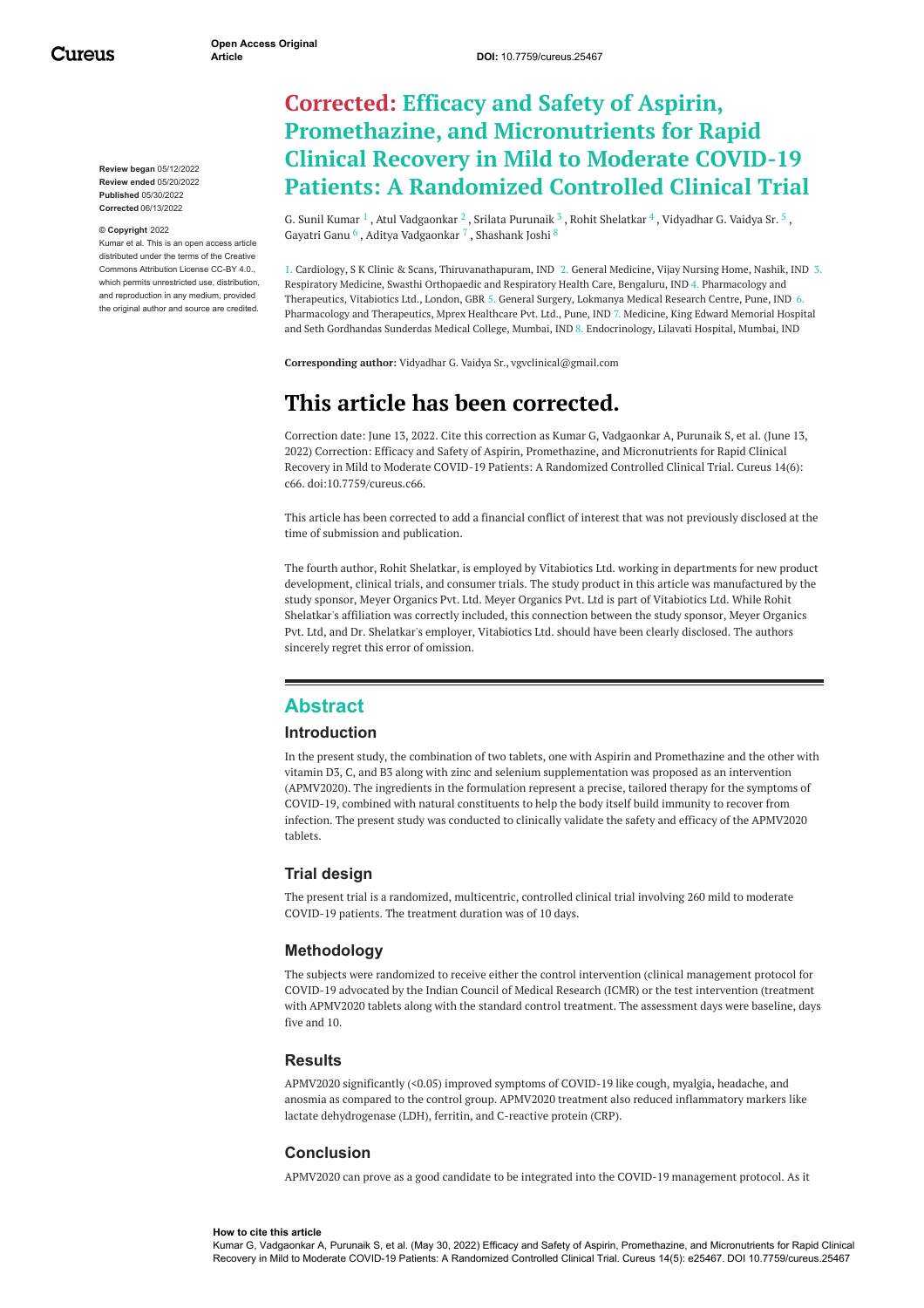Cureus

**Review began** 05/12/2022 **Review ended** 05/20/2022 **Published** 05/30/2022 **Corrected** 06/13/2022

#### **© Copyright** 2022

Kumar et al. This is an open access article distributed under the terms of the Creative Commons Attribution License CC-BY 4.0., which permits unrestricted use, distribution, and reproduction in any medium, provided the original author and source are credited.

# **Corrected: Efficacy and Safety of Aspirin, Promethazine, and Micronutrients for Rapid Clinical Recovery in Mild to Moderate COVID-19 Patients: A Randomized Controlled Clinical Trial**

G. Sunil [Kumar](https://www.cureus.com/users/362053-dr-g-sunil-kumar)  $^1$ , Atul [Vadgaonkar](https://www.cureus.com/users/362054-dr-atul-vadgaonkar)  $^2$  , Srilata [Purunaik](https://www.cureus.com/users/362055-dr-srilata-purunaik)  $^3$  , Rohit [Shelatkar](https://www.cureus.com/users/362056-rohit-shelatkar)  $^4$  , [Vidyadhar](https://www.cureus.com/users/305603-vidyadhar-g-vaidya-sr-) G. Vaidya Sr.  $^5$  , [Gayatri](https://www.cureus.com/users/362058-dr-gayatri-ganu) Ganu  $^6$  , Aditya [Vadgaonkar](https://www.cureus.com/users/362901-dr-aditya-vadgaonkar)  $^7$  , [Shashank](https://www.cureus.com/users/266897-shashank-joshi) Joshi  $^8$ 

1. Cardiology, S K Clinic & Scans, Thiruvanathapuram, IND 2. General Medicine, Vijay Nursing Home, Nashik, IND 3. Respiratory Medicine, Swasthi Orthopaedic and Respiratory Health Care, Bengaluru, IND 4. Pharmacology and Therapeutics, Vitabiotics Ltd., London, GBR 5. General Surgery, Lokmanya Medical Research Centre, Pune, IND 6. Pharmacology and Therapeutics, Mprex Healthcare Pvt. Ltd., Pune, IND 7. Medicine, King Edward Memorial Hospital and Seth Gordhandas Sunderdas Medical College, Mumbai, IND 8. Endocrinology, Lilavati Hospital, Mumbai, IND

**Corresponding author:** Vidyadhar G. Vaidya Sr., vgvclinical@gmail.com

# **This article has been corrected.**

Correction date: June 13, 2022. Cite this correction as Kumar G, Vadgaonkar A, Purunaik S, et al. (June 13, 2022) Correction: Efficacy and Safety of Aspirin, Promethazine, and Micronutrients for Rapid Clinical Recovery in Mild to Moderate COVID-19 Patients: A Randomized Controlled Clinical Trial. Cureus 14(6): c66. doi:10.7759/cureus.c66.

This article has been corrected to add a financial conflict of interest that was not previously disclosed at the time of submission and publication.

The fourth author, Rohit Shelatkar, is employed by Vitabiotics Ltd. working in departments for new product development, clinical trials, and consumer trials. The study product in this article was manufactured by the study sponsor, Meyer Organics Pvt. Ltd. Meyer Organics Pvt. Ltd is part of Vitabiotics Ltd. While Rohit Shelatkar's affiliation was correctly included, this connection between the study sponsor, Meyer Organics Pvt. Ltd, and Dr. Shelatkar's employer, Vitabiotics Ltd. should have been clearly disclosed. The authors sincerely regret this error of omission.

# **Abstract**

#### **Introduction**

In the present study, the combination of two tablets, one with Aspirin and Promethazine and the other with vitamin D3, C, and B3 along with zinc and selenium supplementation was proposed as an intervention (APMV2020). The ingredients in the formulation represent a precise, tailored therapy for the symptoms of COVID-19, combined with natural constituents to help the body itself build immunity to recover from infection. The present study was conducted to clinically validate the safety and efficacy of the APMV2020 tablets.

#### **Trial design**

The present trial is a randomized, multicentric, controlled clinical trial involving 260 mild to moderate COVID-19 patients. The treatment duration was of 10 days.

#### **Methodology**

The subjects were randomized to receive either the control intervention (clinical management protocol for COVID-19 advocated by the Indian Council of Medical Research (ICMR) or the test intervention (treatment with APMV2020 tablets along with the standard control treatment. The assessment days were baseline, days five and 10.

#### **Results**

APMV2020 significantly (<0.05) improved symptoms of COVID-19 like cough, myalgia, headache, and anosmia as compared to the control group. APMV2020 treatment also reduced inflammatory markers like lactate dehydrogenase (LDH), ferritin, and C-reactive protein (CRP).

#### **Conclusion**

APMV2020 can prove as a good candidate to be integrated into the COVID-19 management protocol. As it

#### **How to cite this article**

Kumar G, Vadgaonkar A, Purunaik S, et al. (May 30, 2022) Efficacy and Safety of Aspirin, Promethazine, and Micronutrients for Rapid Clinical Recovery in Mild to Moderate COVID-19 Patients: A Randomized Controlled Clinical Trial. Cureus 14(5): e25467. DOI 10.7759/cureus.25467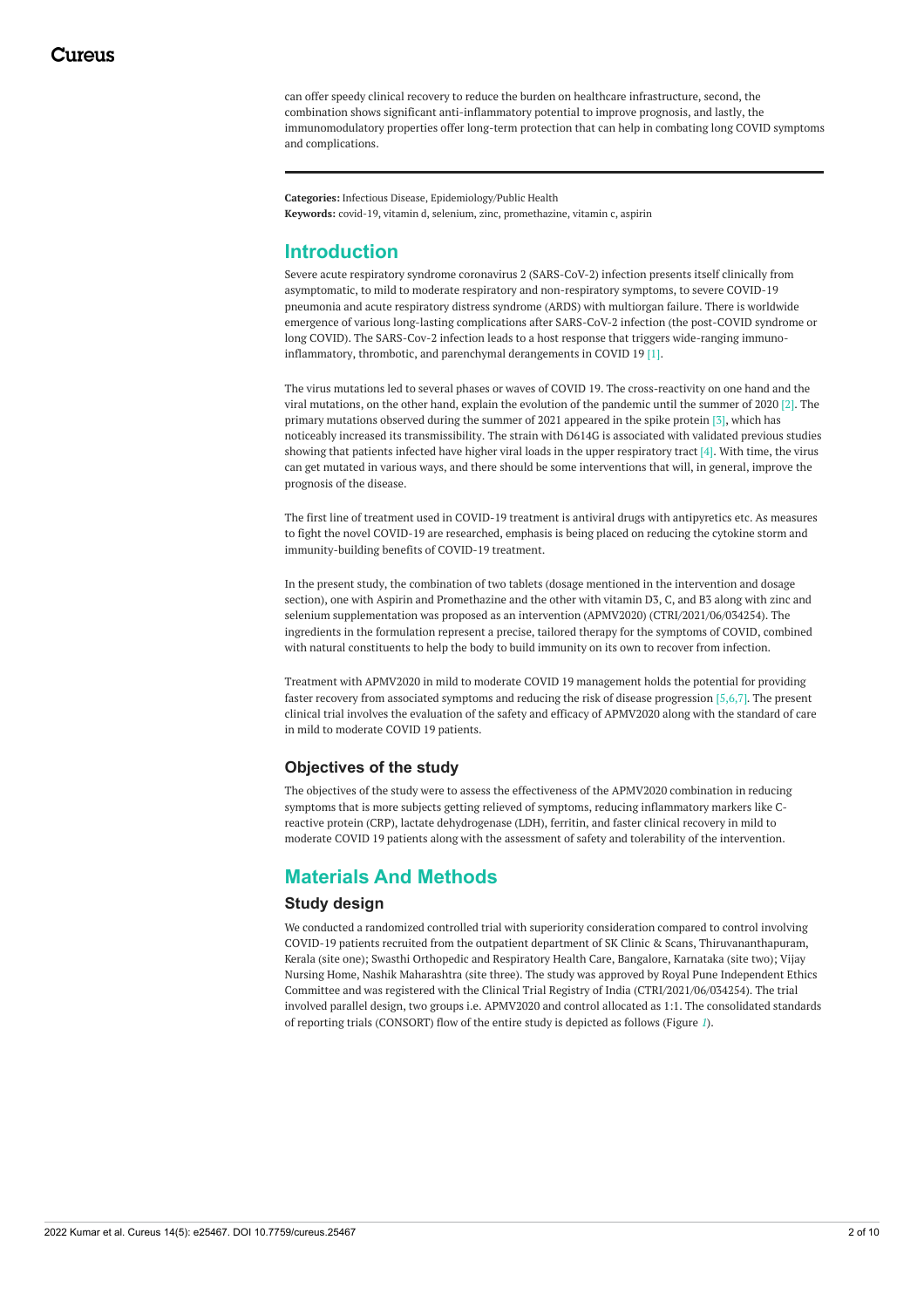can offer speedy clinical recovery to reduce the burden on healthcare infrastructure, second, the combination shows significant anti-inflammatory potential to improve prognosis, and lastly, the immunomodulatory properties offer long-term protection that can help in combating long COVID symptoms and complications.

**Categories:** Infectious Disease, Epidemiology/Public Health **Keywords:** covid-19, vitamin d, selenium, zinc, promethazine, vitamin c, aspirin

# **Introduction**

Severe acute respiratory syndrome coronavirus 2 (SARS-CoV-2) infection presents itself clinically from asymptomatic, to mild to moderate respiratory and non-respiratory symptoms, to severe COVID-19 pneumonia and acute respiratory distress syndrome (ARDS) with multiorgan failure. There is worldwide emergence of various long-lasting complications after SARS-CoV-2 infection (the post-COVID syndrome or long COVID). The SARS-Cov-2 infection leads to a host response that triggers wide-ranging immunoinflammatory, thrombotic, and parenchymal derangements in COVID 19 [1].

The virus mutations led to several phases or waves of COVID 19. The cross-reactivity on one hand and the viral mutations, on the other hand, explain the evolution of the pandemic until the summer of 2020 [2]. The primary mutations observed during the summer of 2021 appeared in the spike protein [3], which has noticeably increased its transmissibility. The strain with D614G is associated with validated previous studies showing that patients infected have higher viral loads in the upper respiratory tract  $[4]$ . With time, the virus can get mutated in various ways, and there should be some interventions that will, in general, improve the prognosis of the disease.

The first line of treatment used in COVID-19 treatment is antiviral drugs with antipyretics etc. As measures to fight the novel COVID-19 are researched, emphasis is being placed on reducing the cytokine storm and immunity-building benefits of COVID-19 treatment.

In the present study, the combination of two tablets (dosage mentioned in the intervention and dosage section), one with Aspirin and Promethazine and the other with vitamin D3, C, and B3 along with zinc and selenium supplementation was proposed as an intervention (APMV2020) (CTRI/2021/06/034254). The ingredients in the formulation represent a precise, tailored therapy for the symptoms of COVID, combined with natural constituents to help the body to build immunity on its own to recover from infection.

Treatment with APMV2020 in mild to moderate COVID 19 management holds the potential for providing faster recovery from associated symptoms and reducing the risk of disease progression [5,6,7]. The present clinical trial involves the evaluation of the safety and efficacy of APMV2020 along with the standard of care in mild to moderate COVID 19 patients.

## **Objectives of the study**

The objectives of the study were to assess the effectiveness of the APMV2020 combination in reducing symptoms that is more subjects getting relieved of symptoms, reducing inflammatory markers like Creactive protein (CRP), lactate dehydrogenase (LDH), ferritin, and faster clinical recovery in mild to moderate COVID 19 patients along with the assessment of safety and tolerability of the intervention.

# **Materials And Methods**

#### **Study design**

We conducted a randomized controlled trial with superiority consideration compared to control involving COVID-19 patients recruited from the outpatient department of SK Clinic & Scans, Thiruvananthapuram, Kerala (site one); Swasthi Orthopedic and Respiratory Health Care, Bangalore, Karnataka (site two); Vijay Nursing Home, Nashik Maharashtra (site three). The study was approved by Royal Pune Independent Ethics Committee and was registered with the Clinical Trial Registry of India (CTRI/2021/06/034254). The trial involved parallel design, two groups i.e. APMV2020 and control allocated as 1:1. The consolidated standards of reporting trials (CONSORT) flow of the entire study is depicted as follows (Figure *[1](#page-2-0)*).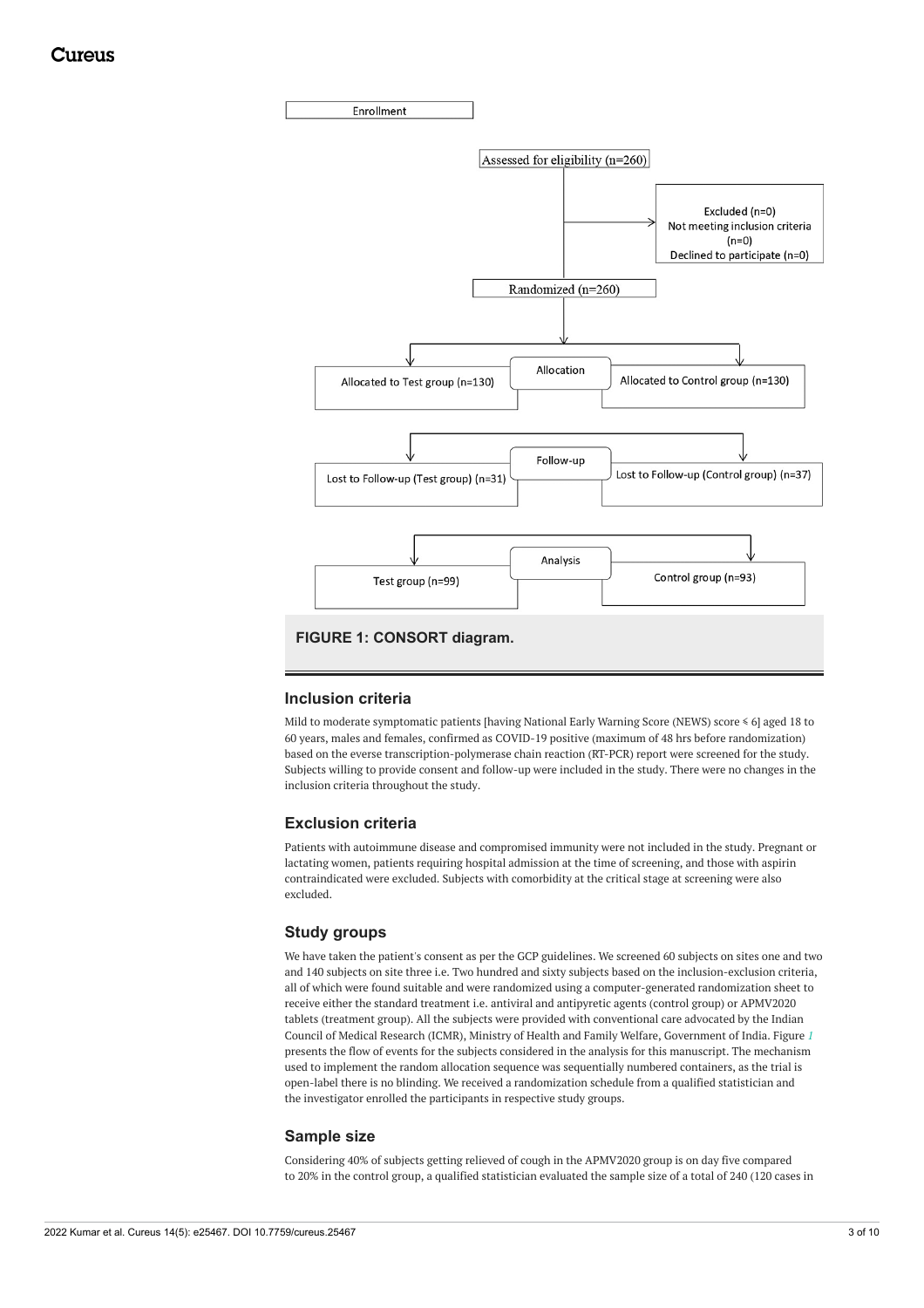<span id="page-2-0"></span>

### **Inclusion criteria**

Mild to moderate symptomatic patients [having National Early Warning Score (NEWS) score ≤ 6] aged 18 to 60 years, males and females, confirmed as COVID-19 positive (maximum of 48 hrs before randomization) based on the everse transcription-polymerase chain reaction (RT-PCR) report were screened for the study. Subjects willing to provide consent and follow-up were included in the study. There were no changes in the inclusion criteria throughout the study.

### **Exclusion criteria**

Patients with autoimmune disease and compromised immunity were not included in the study. Pregnant or lactating women, patients requiring hospital admission at the time of screening, and those with aspirin contraindicated were excluded. Subjects with comorbidity at the critical stage at screening were also excluded.

### **Study groups**

We have taken the patient's consent as per the GCP guidelines. We screened 60 subjects on sites one and two and 140 subjects on site three i.e. Two hundred and sixty subjects based on the inclusion-exclusion criteria, all of which were found suitable and were randomized using a computer-generated randomization sheet to receive either the standard treatment i.e. antiviral and antipyretic agents (control group) or APMV2020 tablets (treatment group). All the subjects were provided with conventional care advocated by the Indian Council of Medical Research (ICMR), Ministry of Health and Family Welfare, Government of India. Figure *[1](#page-2-0)* presents the flow of events for the subjects considered in the analysis for this manuscript. The mechanism used to implement the random allocation sequence was sequentially numbered containers, as the trial is open-label there is no blinding. We received a randomization schedule from a qualified statistician and the investigator enrolled the participants in respective study groups.

#### **Sample size**

Considering 40% of subjects getting relieved of cough in the APMV2020 group is on day five compared to 20% in the control group, a qualified statistician evaluated the sample size of a total of 240 (120 cases in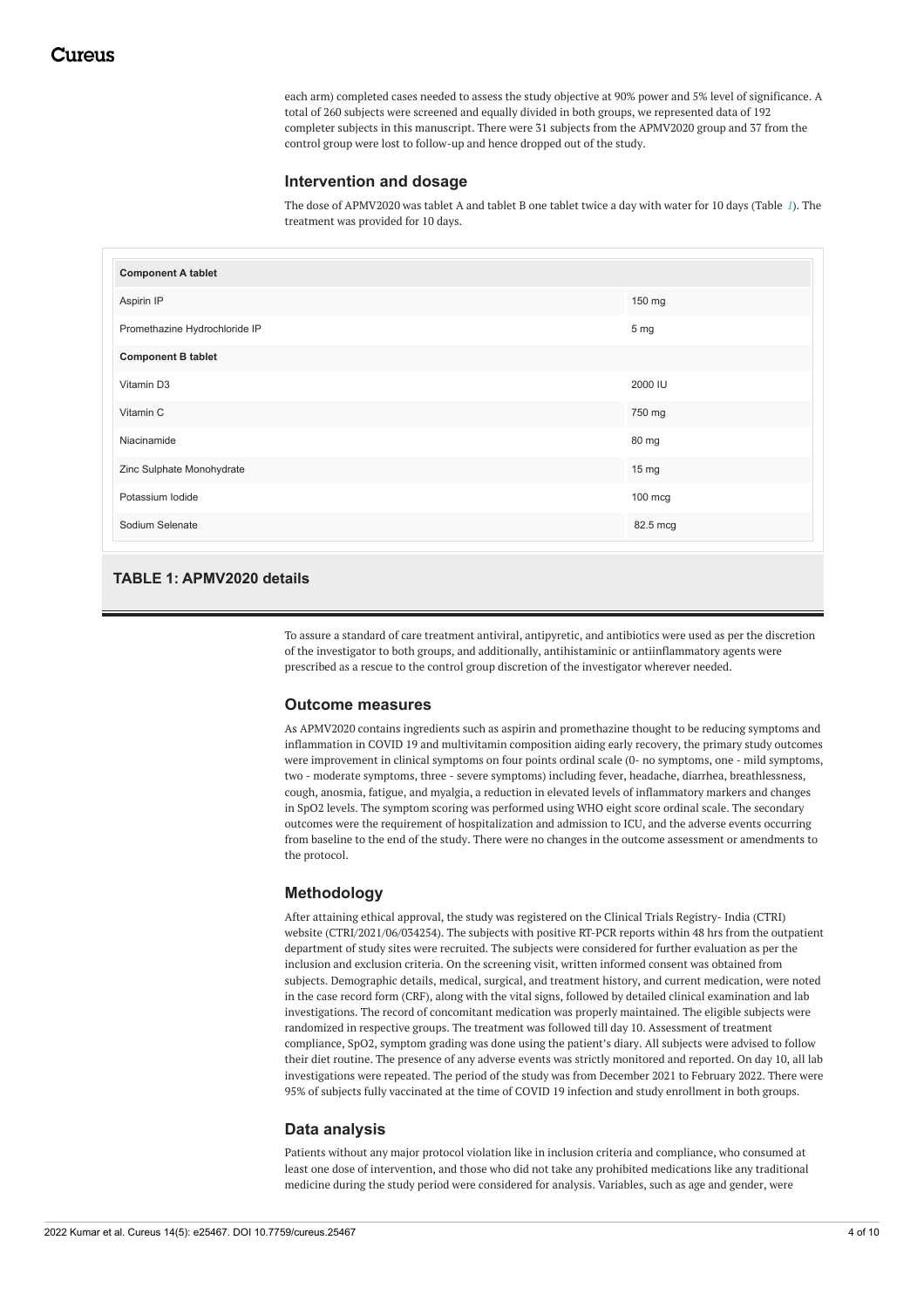each arm) completed cases needed to assess the study objective at 90% power and 5% level of significance. A total of 260 subjects were screened and equally divided in both groups, we represented data of 192 completer subjects in this manuscript. There were 31 subjects from the APMV2020 group and 37 from the control group were lost to follow-up and hence dropped out of the study.

### **Intervention and dosage**

The dose of APMV2020 was tablet A and tablet B one tablet twice a day with water for 10 days (Table *[1](#page-3-0)*). The treatment was provided for 10 days.

<span id="page-3-0"></span>

| <b>Component A tablet</b>     |          |
|-------------------------------|----------|
| Aspirin IP                    | 150 mg   |
| Promethazine Hydrochloride IP | 5 mg     |
| <b>Component B tablet</b>     |          |
| Vitamin D3                    | 2000 IU  |
| Vitamin C                     | 750 mg   |
| Niacinamide                   | 80 mg    |
| Zinc Sulphate Monohydrate     | 15 mg    |
| Potassium lodide              | 100 mcg  |
| Sodium Selenate               | 82.5 mcg |

# **TABLE 1: APMV2020 details**

To assure a standard of care treatment antiviral, antipyretic, and antibiotics were used as per the discretion of the investigator to both groups, and additionally, antihistaminic or antiinflammatory agents were prescribed as a rescue to the control group discretion of the investigator wherever needed.

#### **Outcome measures**

As APMV2020 contains ingredients such as aspirin and promethazine thought to be reducing symptoms and inflammation in COVID 19 and multivitamin composition aiding early recovery, the primary study outcomes were improvement in clinical symptoms on four points ordinal scale (0- no symptoms, one - mild symptoms, two - moderate symptoms, three - severe symptoms) including fever, headache, diarrhea, breathlessness, cough, anosmia, fatigue, and myalgia, a reduction in elevated levels of inflammatory markers and changes in SpO2 levels. The symptom scoring was performed using WHO eight score ordinal scale. The secondary outcomes were the requirement of hospitalization and admission to ICU, and the adverse events occurring from baseline to the end of the study. There were no changes in the outcome assessment or amendments to the protocol.

## **Methodology**

After attaining ethical approval, the study was registered on the Clinical Trials Registry- India (CTRI) website (CTRI/2021/06/034254). The subjects with positive RT-PCR reports within 48 hrs from the outpatient department of study sites were recruited. The subjects were considered for further evaluation as per the inclusion and exclusion criteria. On the screening visit, written informed consent was obtained from subjects. Demographic details, medical, surgical, and treatment history, and current medication, were noted in the case record form (CRF), along with the vital signs, followed by detailed clinical examination and lab investigations. The record of concomitant medication was properly maintained. The eligible subjects were randomized in respective groups. The treatment was followed till day 10. Assessment of treatment compliance, SpO2, symptom grading was done using the patient's diary. All subjects were advised to follow their diet routine. The presence of any adverse events was strictly monitored and reported. On day 10, all lab investigations were repeated. The period of the study was from December 2021 to February 2022. There were 95% of subjects fully vaccinated at the time of COVID 19 infection and study enrollment in both groups.

## **Data analysis**

Patients without any major protocol violation like in inclusion criteria and compliance, who consumed at least one dose of intervention, and those who did not take any prohibited medications like any traditional medicine during the study period were considered for analysis. Variables, such as age and gender, were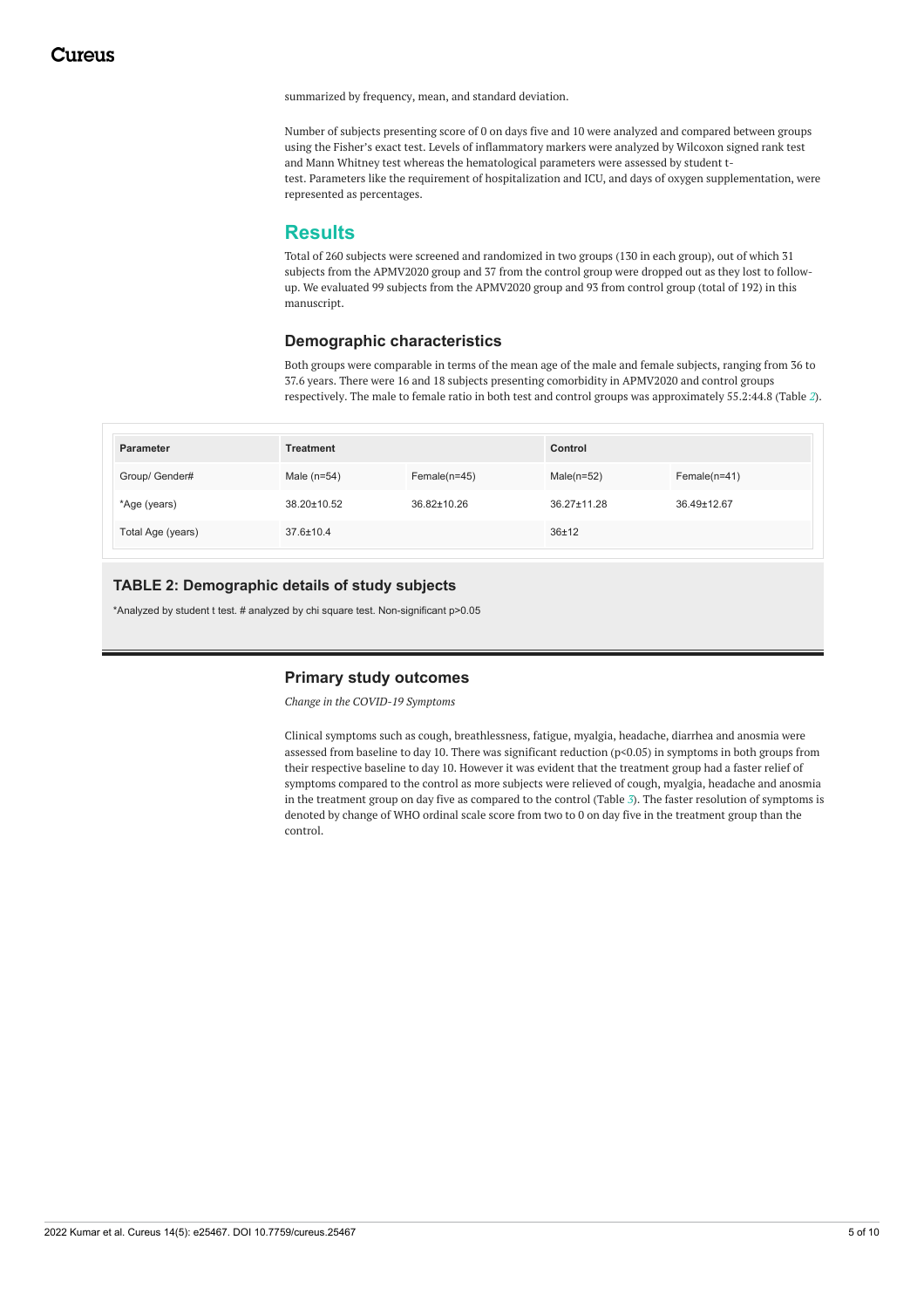summarized by frequency, mean, and standard deviation.

Number of subjects presenting score of 0 on days five and 10 were analyzed and compared between groups using the Fisher's exact test. Levels of inflammatory markers were analyzed by Wilcoxon signed rank test and Mann Whitney test whereas the hematological parameters were assessed by student ttest. Parameters like the requirement of hospitalization and ICU, and days of oxygen supplementation, were represented as percentages.

# **Results**

Total of 260 subjects were screened and randomized in two groups (130 in each group), out of which 31 subjects from the APMV2020 group and 37 from the control group were dropped out as they lost to followup. We evaluated 99 subjects from the APMV2020 group and 93 from control group (total of 192) in this manuscript.

## **Demographic characteristics**

Both groups were comparable in terms of the mean age of the male and female subjects, ranging from 36 to 37.6 years. There were 16 and 18 subjects presenting comorbidity in APMV2020 and control groups respectively. The male to female ratio in both test and control groups was approximately 55.2:44.8 (Table *[2](#page-4-0)*).

<span id="page-4-0"></span>

| Parameter         | <b>Treatment</b> |                | Control       |                |
|-------------------|------------------|----------------|---------------|----------------|
| Group/ Gender#    | Male $(n=54)$    | $Female(n=45)$ | Male $(n=52)$ | $Female(n=41)$ |
| *Age (years)      | 38.20±10.52      | 36.82±10.26    | 36.27±11.28   | 36.49±12.67    |
| Total Age (years) | $37.6 \pm 10.4$  |                | 36±12         |                |

## **TABLE 2: Demographic details of study subjects**

\*Analyzed by student t test. # analyzed by chi square test. Non-significant p>0.05

#### **Primary study outcomes**

*Change in the COVID-19 Symptoms*

Clinical symptoms such as cough, breathlessness, fatigue, myalgia, headache, diarrhea and anosmia were assessed from baseline to day 10. There was significant reduction (p<0.05) in symptoms in both groups from their respective baseline to day 10. However it was evident that the treatment group had a faster relief of symptoms compared to the control as more subjects were relieved of cough, myalgia, headache and anosmia in the treatment group on day five as compared to the control (Table *[3](#page-5-0)*). The faster resolution of symptoms is denoted by change of WHO ordinal scale score from two to 0 on day five in the treatment group than the control.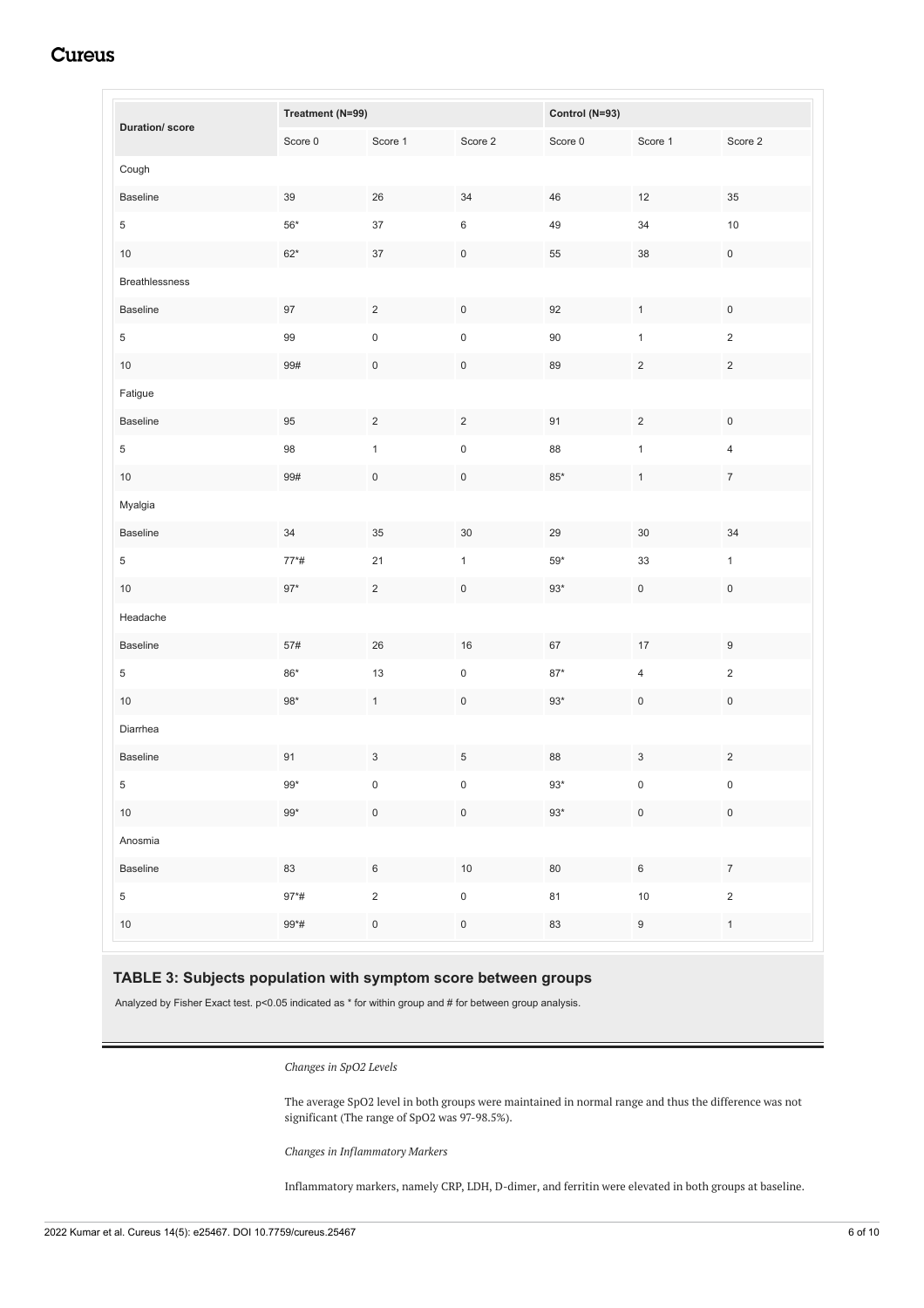<span id="page-5-0"></span>

|                       | Treatment (N=99) |                     | Control (N=93)      |              |                     |                     |
|-----------------------|------------------|---------------------|---------------------|--------------|---------------------|---------------------|
| <b>Duration/score</b> | Score 0          | Score 1             | Score 2             | Score $0$    | Score 1             | Score 2             |
| Cough                 |                  |                     |                     |              |                     |                     |
| <b>Baseline</b>       | $39\,$           | 26                  | 34                  | 46           | 12                  | $35\,$              |
| $\sqrt{5}$            | $56^{\ast}$      | 37                  | $\,6\,$             | 49           | $34\,$              | $10\,$              |
| 10                    | $62^{\star}$     | $37\,$              | $\mathsf{O}\xspace$ | 55           | 38                  | $\mathsf{O}\xspace$ |
| <b>Breathlessness</b> |                  |                     |                     |              |                     |                     |
| Baseline              | 97               | $\overline{c}$      | $\mathsf{O}\xspace$ | 92           | $\mathbf{1}$        | $\mathsf{O}\xspace$ |
| $\sqrt{5}$            | 99               | $\pmb{0}$           | $\mathsf 0$         | $90\,$       | $\mathbf{1}$        | $\sqrt{2}$          |
| $10\,$                | 99#              | $\mathsf{O}\xspace$ | $\mathbf 0$         | 89           | $\overline{c}$      | $\overline{c}$      |
| Fatigue               |                  |                     |                     |              |                     |                     |
| Baseline              | $95\,$           | $\overline{c}$      | $\overline{c}$      | 91           | $\sqrt{2}$          | $\mathsf{O}\xspace$ |
| $\sqrt{5}$            | 98               | $\mathbf{1}$        | $\mathsf 0$         | 88           | $\mathbf{1}$        | $\overline{4}$      |
| $10$                  | 99#              | $\mathsf{O}\xspace$ | $\mathsf{O}\xspace$ | $85^{\ast}$  | $\mathbf{1}$        | $\boldsymbol{7}$    |
| Myalgia               |                  |                     |                     |              |                     |                     |
| Baseline              | 34               | 35                  | $30\,$              | 29           | 30                  | $34\,$              |
| $\sqrt{5}$            | $77*#$           | 21                  | $\mathbf{1}$        | $59^{\ast}$  | $33\,$              | $\mathbf 1$         |
| 10                    | $97*$            | $\overline{c}$      | $\mathbf 0$         | $93*$        | $\mathsf{O}\xspace$ | $\mathbf 0$         |
| Headache              |                  |                     |                     |              |                     |                     |
| Baseline              | 57#              | 26                  | $16\,$              | 67           | $17\,$              | $\boldsymbol{9}$    |
| $\sqrt{5}$            | $86^{\star}$     | $13$                | $\mathsf 0$         | $87^{\star}$ | 4                   | $\overline{c}$      |
| $10\,$                | $98^{\ast}$      | $\mathbf{1}$        | $\mathsf{O}\xspace$ | $93*$        | $\mathsf{O}\xspace$ | $\mathsf{O}\xspace$ |
| Diarrhea              |                  |                     |                     |              |                     |                     |
| Baseline              | 91               | 3                   | 5                   | 88           | 3                   | $\overline{2}$      |
| 5 <sup>5</sup>        | $99^{\star}$     | 0                   | 0                   | $93^{\ast}$  | 0                   | $\mathsf{O}$        |
| 10                    | $99^{\star}$     | $\mathsf{O}\xspace$ | $\mathsf{O}\xspace$ | $93^{\ast}$  | $\mathsf{O}\xspace$ | $\mathbf 0$         |
| Anosmia               |                  |                     |                     |              |                     |                     |
| Baseline              | 83               | $\,6\,$             | $10\,$              | $80\,$       | $\,6\,$             | $\boldsymbol{7}$    |
| $\overline{5}$        | $97*#$           | $\sqrt{2}$          | $\mathsf{O}\xspace$ | 81           | $10$                | $\sqrt{2}$          |
| $10\,$                | $99*#$           | $\mathsf{O}\xspace$ | $\mathbf 0$         | 83           | $\boldsymbol{9}$    | $\mathbf{1}$        |

# **Cureus**

# **TABLE 3: Subjects population with symptom score between groups**

Analyzed by Fisher Exact test. p<0.05 indicated as \* for within group and # for between group analysis.

*Changes in SpO2 Levels*

The average SpO2 level in both groups were maintained in normal range and thus the difference was not significant (The range of SpO2 was 97-98.5%).

*Changes in Inflammatory Markers*

Inflammatory markers, namely CRP, LDH, D-dimer, and ferritin were elevated in both groups at baseline.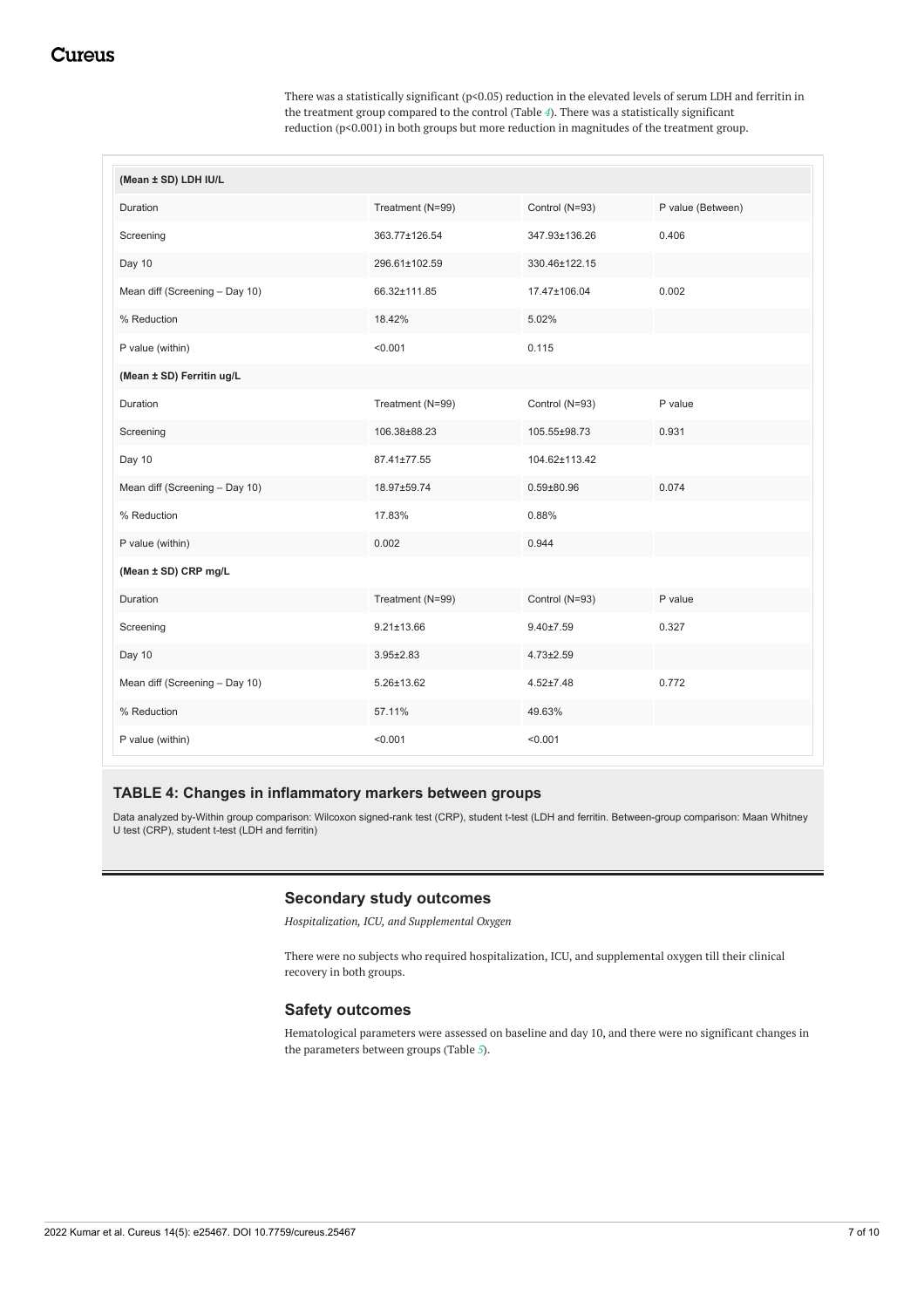There was a statistically significant (p<0.05) reduction in the elevated levels of serum LDH and ferritin in the treatment group compared to the control (Table *[4](#page-6-0)*). There was a statistically significant reduction (p<0.001) in both groups but more reduction in magnitudes of the treatment group.

<span id="page-6-0"></span>

| (Mean ± SD) LDH IU/L           |                  |                  |                   |
|--------------------------------|------------------|------------------|-------------------|
| Duration                       | Treatment (N=99) | Control (N=93)   | P value (Between) |
| Screening                      | 363.77±126.54    | 347.93±136.26    | 0.406             |
| Day 10                         | 296.61±102.59    | 330.46±122.15    |                   |
| Mean diff (Screening - Day 10) | 66.32±111.85     | 17.47±106.04     | 0.002             |
| % Reduction                    | 18.42%           | 5.02%            |                   |
| P value (within)               | < 0.001          | 0.115            |                   |
| (Mean ± SD) Ferritin ug/L      |                  |                  |                   |
| Duration                       | Treatment (N=99) | Control (N=93)   | P value           |
| Screening                      | 106.38±88.23     | 105.55±98.73     | 0.931             |
| Day 10                         | 87.41±77.55      | 104.62±113.42    |                   |
| Mean diff (Screening - Day 10) | 18.97±59.74      | $0.59 \pm 80.96$ | 0.074             |
| % Reduction                    | 17.83%           | 0.88%            |                   |
| P value (within)               | 0.002            | 0.944            |                   |
| (Mean ± SD) CRP mg/L           |                  |                  |                   |
| Duration                       | Treatment (N=99) | Control (N=93)   | P value           |
| Screening                      | $9.21 \pm 13.66$ | $9.40 \pm 7.59$  | 0.327             |
| Day 10                         | $3.95 \pm 2.83$  | $4.73 \pm 2.59$  |                   |
| Mean diff (Screening - Day 10) | 5.26±13.62       | $4.52 \pm 7.48$  | 0.772             |
| % Reduction                    | 57.11%           | 49.63%           |                   |
| P value (within)               | < 0.001          | < 0.001          |                   |

### **TABLE 4: Changes in inflammatory markers between groups**

Data analyzed by-Within group comparison: Wilcoxon signed-rank test (CRP), student t-test (LDH and ferritin. Between-group comparison: Maan Whitney U test (CRP), student t-test (LDH and ferritin)

### **Secondary study outcomes**

*Hospitalization, ICU, and Supplemental Oxygen*

There were no subjects who required hospitalization, ICU, and supplemental oxygen till their clinical recovery in both groups.

#### **Safety outcomes**

Hematological parameters were assessed on baseline and day 10, and there were no significant changes in the parameters between groups (Table *[5](#page-7-0)*).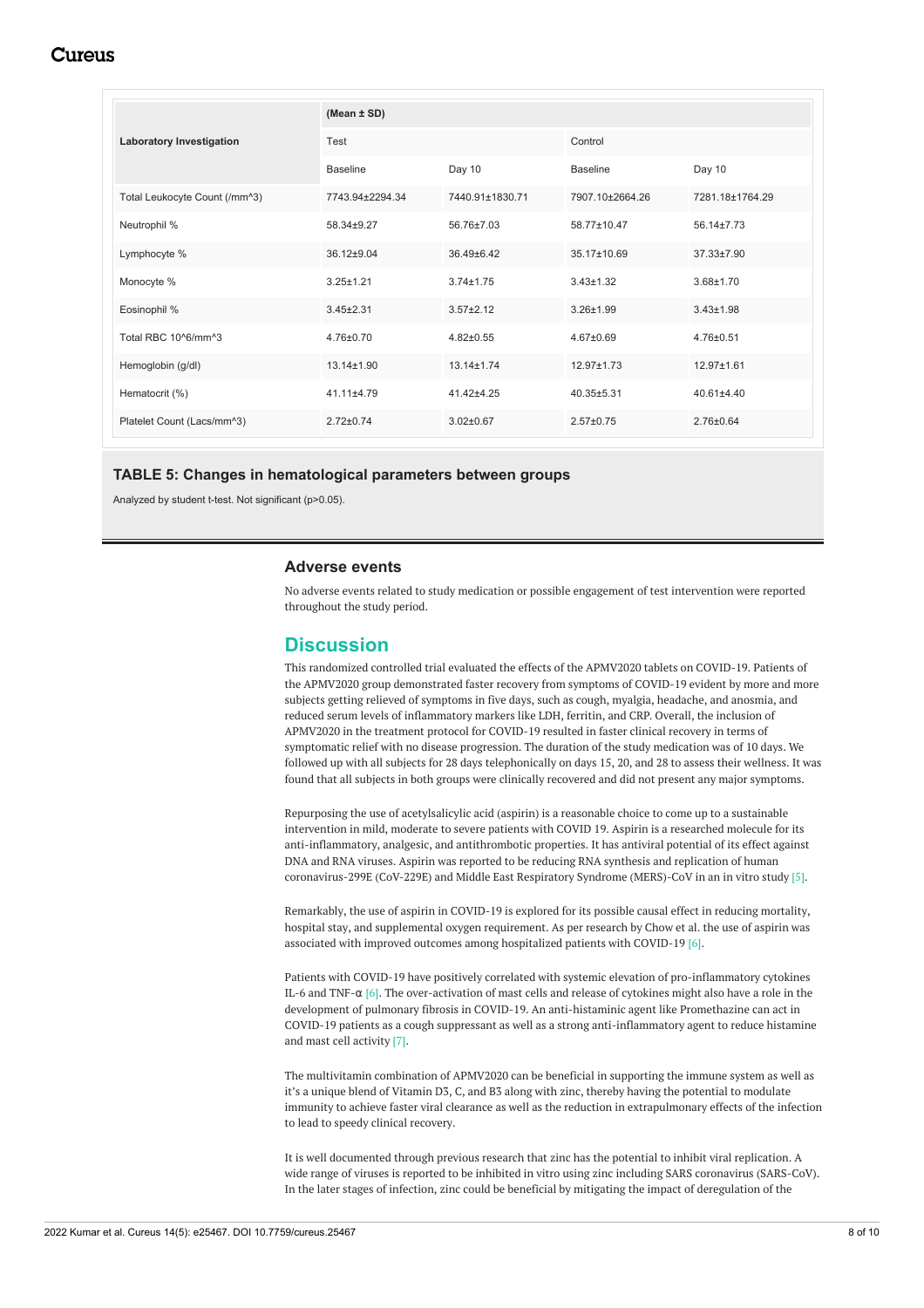# Cureus

<span id="page-7-0"></span>

|                                 | (Mean $\pm$ SD)  |                  |                  |                  |  |
|---------------------------------|------------------|------------------|------------------|------------------|--|
| <b>Laboratory Investigation</b> | Test             |                  | Control          |                  |  |
|                                 | <b>Baseline</b>  | Day 10           | <b>Baseline</b>  | Day 10           |  |
| Total Leukocyte Count (/mm^3)   | 7743.94±2294.34  | 7440.91±1830.71  | 7907.10±2664.26  | 7281.18±1764.29  |  |
| Neutrophil %                    | 58.34±9.27       | 56.76±7.03       | 58.77±10.47      | 56.14±7.73       |  |
| Lymphocyte %                    | $36.12 + 9.04$   | $36.49 \pm 6.42$ | 35.17±10.69      | $37.33 \pm 7.90$ |  |
| Monocyte %                      | $3.25 \pm 1.21$  | $3.74 \pm 1.75$  | $3.43 \pm 1.32$  | $3.68 + 1.70$    |  |
| Eosinophil %                    | $3.45 \pm 2.31$  | $3.57 \pm 2.12$  | $3.26 + 1.99$    | $3.43 \pm 1.98$  |  |
| Total RBC 10^6/mm^3             | 4.76±0.70        | $4.82 \pm 0.55$  | $4.67 + 0.69$    | $4.76 \pm 0.51$  |  |
| Hemoglobin (g/dl)               | $13.14 \pm 1.90$ | $13.14 \pm 1.74$ | $12.97 \pm 1.73$ | 12.97±1.61       |  |
| Hematocrit (%)                  | $41.11 \pm 4.79$ | 41.42±4.25       | $40.35 + 5.31$   | $40.61 + 4.40$   |  |
| Platelet Count (Lacs/mm^3)      | $2.72 \pm 0.74$  | $3.02 \pm 0.67$  | $2.57 \pm 0.75$  | $2.76 \pm 0.64$  |  |

#### **TABLE 5: Changes in hematological parameters between groups**

Analyzed by student t-test. Not significant (p>0.05).

#### **Adverse events**

No adverse events related to study medication or possible engagement of test intervention were reported throughout the study period.

# **Discussion**

This randomized controlled trial evaluated the effects of the APMV2020 tablets on COVID-19. Patients of the APMV2020 group demonstrated faster recovery from symptoms of COVID-19 evident by more and more subjects getting relieved of symptoms in five days, such as cough, myalgia, headache, and anosmia, and reduced serum levels of inflammatory markers like LDH, ferritin, and CRP. Overall, the inclusion of APMV2020 in the treatment protocol for COVID-19 resulted in faster clinical recovery in terms of symptomatic relief with no disease progression. The duration of the study medication was of 10 days. We followed up with all subjects for 28 days telephonically on days 15, 20, and 28 to assess their wellness. It was found that all subjects in both groups were clinically recovered and did not present any major symptoms.

Repurposing the use of acetylsalicylic acid (aspirin) is a reasonable choice to come up to a sustainable intervention in mild, moderate to severe patients with COVID 19. Aspirin is a researched molecule for its anti-inflammatory, analgesic, and antithrombotic properties. It has antiviral potential of its effect against DNA and RNA viruses. Aspirin was reported to be reducing RNA synthesis and replication of human coronavirus-299E (CoV-229E) and Middle East Respiratory Syndrome (MERS)-CoV in an in vitro study [5].

Remarkably, the use of aspirin in COVID-19 is explored for its possible causal effect in reducing mortality, hospital stay, and supplemental oxygen requirement. As per research by Chow et al. the use of aspirin was associated with improved outcomes among hospitalized patients with COVID-19 [6].

Patients with COVID-19 have positively correlated with systemic elevation of pro-inflammatory cytokines IL-6 and TNF-α [6]. The over-activation of mast cells and release of cytokines might also have a role in the development of pulmonary fibrosis in COVID-19. An anti-histaminic agent like Promethazine can act in COVID-19 patients as a cough suppressant as well as a strong anti-inflammatory agent to reduce histamine and mast cell activity [7].

The multivitamin combination of APMV2020 can be beneficial in supporting the immune system as well as it's a unique blend of Vitamin D3, C, and B3 along with zinc, thereby having the potential to modulate immunity to achieve faster viral clearance as well as the reduction in extrapulmonary effects of the infection to lead to speedy clinical recovery.

It is well documented through previous research that zinc has the potential to inhibit viral replication. A wide range of viruses is reported to be inhibited in vitro using zinc including SARS coronavirus (SARS-CoV). In the later stages of infection, zinc could be beneficial by mitigating the impact of deregulation of the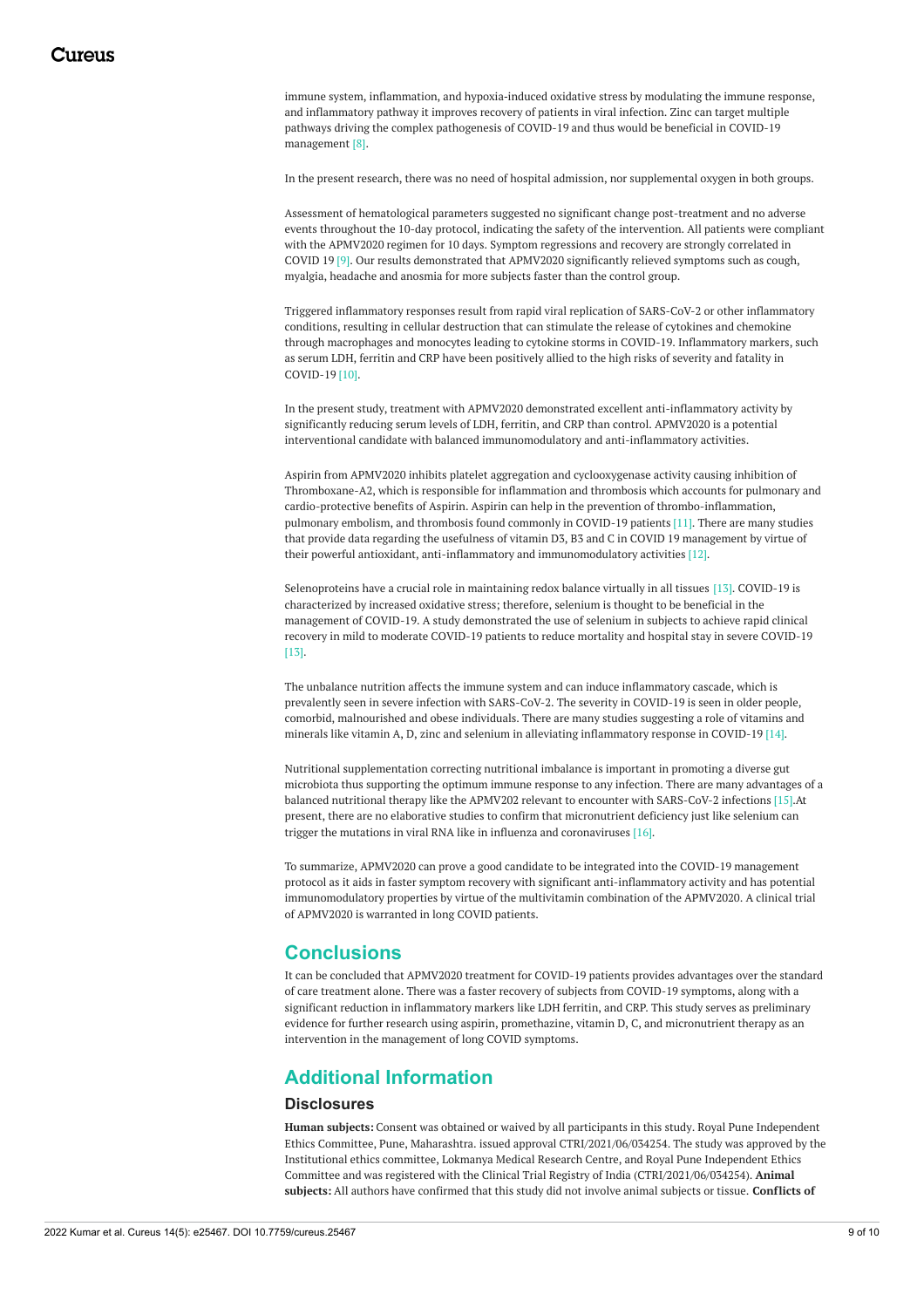immune system, inflammation, and hypoxia-induced oxidative stress by modulating the immune response, and inflammatory pathway it improves recovery of patients in viral infection. Zinc can target multiple pathways driving the complex pathogenesis of COVID-19 and thus would be beneficial in COVID-19 management [8].

In the present research, there was no need of hospital admission, nor supplemental oxygen in both groups.

Assessment of hematological parameters suggested no significant change post-treatment and no adverse events throughout the 10-day protocol, indicating the safety of the intervention. All patients were compliant with the APMV2020 regimen for 10 days. Symptom regressions and recovery are strongly correlated in COVID 19 [9]. Our results demonstrated that APMV2020 significantly relieved symptoms such as cough, myalgia, headache and anosmia for more subjects faster than the control group.

Triggered inflammatory responses result from rapid viral replication of SARS-CoV-2 or other inflammatory conditions, resulting in cellular destruction that can stimulate the release of cytokines and chemokine through macrophages and monocytes leading to cytokine storms in COVID-19. Inflammatory markers, such as serum LDH, ferritin and CRP have been positively allied to the high risks of severity and fatality in COVID-19 [10].

In the present study, treatment with APMV2020 demonstrated excellent anti-inflammatory activity by significantly reducing serum levels of LDH, ferritin, and CRP than control. APMV2020 is a potential interventional candidate with balanced immunomodulatory and anti-inflammatory activities.

Aspirin from APMV2020 inhibits platelet aggregation and cyclooxygenase activity causing inhibition of Thromboxane-A2, which is responsible for inflammation and thrombosis which accounts for pulmonary and cardio-protective benefits of Aspirin. Aspirin can help in the prevention of thrombo-inflammation, pulmonary embolism, and thrombosis found commonly in COVID-19 patients [11]. There are many studies that provide data regarding the usefulness of vitamin D3, B3 and C in COVID 19 management by virtue of their powerful antioxidant, anti-inflammatory and immunomodulatory activities [12].

Selenoproteins have a crucial role in maintaining redox balance virtually in all tissues [13]. COVID-19 is characterized by increased oxidative stress; therefore, selenium is thought to be beneficial in the management of COVID-19. A study demonstrated the use of selenium in subjects to achieve rapid clinical recovery in mild to moderate COVID-19 patients to reduce mortality and hospital stay in severe COVID-19 [13].

The unbalance nutrition affects the immune system and can induce inflammatory cascade, which is prevalently seen in severe infection with SARS-CoV-2. The severity in COVID-19 is seen in older people, comorbid, malnourished and obese individuals. There are many studies suggesting a role of vitamins and minerals like vitamin A, D, zinc and selenium in alleviating inflammatory response in COVID-19 [14].

Nutritional supplementation correcting nutritional imbalance is important in promoting a diverse gut microbiota thus supporting the optimum immune response to any infection. There are many advantages of a balanced nutritional therapy like the APMV202 relevant to encounter with SARS-CoV-2 infections [15].At present, there are no elaborative studies to confirm that micronutrient deficiency just like selenium can trigger the mutations in viral RNA like in influenza and coronaviruses [16].

To summarize, APMV2020 can prove a good candidate to be integrated into the COVID-19 management protocol as it aids in faster symptom recovery with significant anti-inflammatory activity and has potential immunomodulatory properties by virtue of the multivitamin combination of the APMV2020. A clinical trial of APMV2020 is warranted in long COVID patients.

# **Conclusions**

It can be concluded that APMV2020 treatment for COVID-19 patients provides advantages over the standard of care treatment alone. There was a faster recovery of subjects from COVID-19 symptoms, along with a significant reduction in inflammatory markers like LDH ferritin, and CRP. This study serves as preliminary evidence for further research using aspirin, promethazine, vitamin D, C, and micronutrient therapy as an intervention in the management of long COVID symptoms.

# **Additional Information**

### **Disclosures**

**Human subjects:** Consent was obtained or waived by all participants in this study. Royal Pune Independent Ethics Committee, Pune, Maharashtra. issued approval CTRI/2021/06/034254. The study was approved by the Institutional ethics committee, Lokmanya Medical Research Centre, and Royal Pune Independent Ethics Committee and was registered with the Clinical Trial Registry of India (CTRI/2021/06/034254). **Animal subjects:** All authors have confirmed that this study did not involve animal subjects or tissue. **Conflicts of**